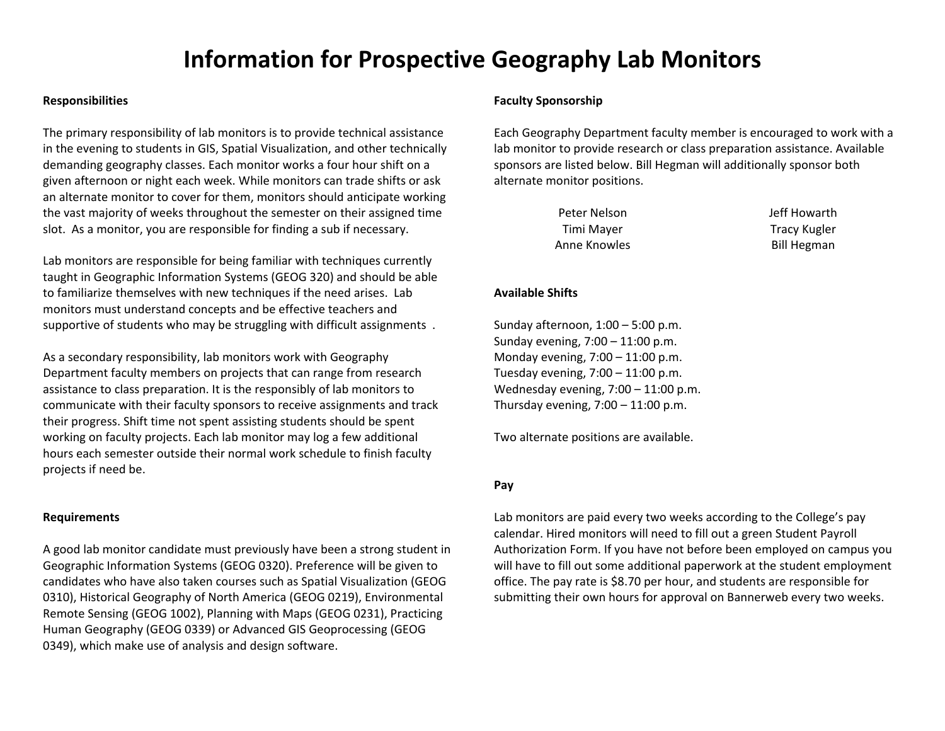# **Information for Prospective Geography Lab Monitors**

#### **Responsibilities**

The primary responsibility of lab monitors is to provide technical assistance in the evening to students in GIS, Spatial Visualization, and other technically demanding geography classes. Each monitor works <sup>a</sup> four hour shift on <sup>a</sup> given afternoon or night each week. While monitors can trade shifts or ask an alternate monitor to cover for them, monitors should anticipate working the vast majority of weeks throughout the semester on their assigned time slot. As a monitor, you are responsible for finding <sup>a</sup> sub if necessary.

Lab monitors are responsible for being familiar with techniques currently taught in Geographic Information Systems (GEOG 320) and should be able to familiarize themselves with new techniques if the need arises. Lab monitors must understand concepts and be effective teachers and supportive of students who may be struggling with difficult assignments .

As a secondary responsibility, lab monitors work with Geography Department faculty members on projects that can range from research assistance to class preparation. It is the responsibly of lab monitors to communicate with their faculty sponsors to receive assignments and track their progress. Shift time not spent assisting students should be spent working on faculty projects. Each lab monitor may log <sup>a</sup> few additional hours each semester outside their normal work schedule to finish faculty projects if need be.

#### **Requirements**

A good lab monitor candidate must previously have been <sup>a</sup> strong student in Geographic Information Systems (GEOG 0320). Preference will be given to candidates who have also taken courses such as Spatial Visualization (GEOG 0310), Historical Geography of North America (GEOG 0219), Environmental Remote Sensing (GEOG 1002), Planning with Maps (GEOG 0231), Practicing Human Geography (GEOG 0339) or Advanced GIS Geoprocessing (GEOG 0349), which make use of analysis and design software.

### **Faculty Sponsorship**

Each Geography Department faculty member is encouraged to work with <sup>a</sup> lab monitor to provide research or class preparation assistance. Available sponsors are listed below. Bill Hegman will additionally sponsor both alternate monitor positions.

| Peter Nelson | Jeff Howarth        |
|--------------|---------------------|
| Timi Mayer   | <b>Tracy Kugler</b> |
| Anne Knowles | <b>Bill Hegman</b>  |

### **Available Shifts**

Sunday afternoon, 1:00 – 5:00 p.m. Sunday evening, 7:00 – 11:00 p.m. Monday evening, 7:00 – 11:00 p.m. Tuesday evening, 7:00 – 11:00 p.m. Wednesday evening, 7:00 – 11:00 p.m. Thursday evening,  $7:00 - 11:00$  p.m.

Two alternate positions are available.

## **Pay**

Lab monitors are paid every two weeks according to the College's pay calendar. Hired monitors will need to fill out <sup>a</sup> green Student Payroll Authorization Form. If you have not before been employed on campus you will have to fill out some additional paperwork at the student employment office. The pay rate is \$8.70 per hour, and students are responsible for submitting their own hours for approval on Bannerweb every two weeks.